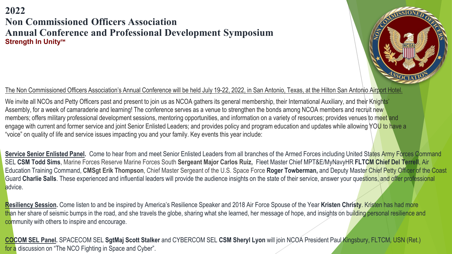## **2022 Non Commissioned Officers Association Annual Conference and Professional Development Symposium Strength In Unity™**



## The Non Commissioned Officers Association's Annual Conference will be held July 19-22, 2022, in San Antonio, Texas, at the Hilton San Antonio Airport Hotel.

We invite all NCOs and Petty Officers past and present to join us as NCOA gathers its general membership, their International Auxiliary, and their Knights' Assembly, for a week of camaraderie and learning! The conference serves as a venue to strengthen the bonds among NCOA members and recruit new members; offers military professional development sessions, mentoring opportunities, and information on a variety of resources; provides venues to meet and engage with current and former service and joint Senior Enlisted Leaders; and provides policy and program education and updates while allowing YOU to have a "voice" on quality of life and service issues impacting you and your family. Key events this year include:

Service Senior Enlisted Panel. Come to hear from and meet Senior Enlisted Leaders from all branches of the Armed Forces including United States Army Forces Command SEL **CSM Todd Sims**, Marine Forces Reserve Marine Forces South **Sergeant Major Carlos Ruiz,** Fleet Master Chief MPT&E/MyNavyHR **FLTCM Chief Del Terrell**, Air Education Training Command, **CMSgt Erik Thompson**, Chief Master Sergeant of the U.S. Space Force **Roger Towberman,** and Deputy Master Chief Petty Officer of the Coast Guard Charlie Salls. These experienced and influential leaders will provide the audience insights on the state of their service, answer your questions, and offer professional advice.

**Resiliency Session.** Come listen to and be inspired by America's Resilience Speaker and 2018 Air Force Spouse of the Year **Kristen Christy**. Kristen has had more than her share of seismic bumps in the road, and she travels the globe, sharing what she learned, her message of hope, and insights on building personal resilience and community with others to inspire and encourage.

**COCOM SEL Panel.** SPACECOM SEL **SgtMaj Scott Stalker** and CYBERCOM SEL **CSM Sheryl Lyon** will join NCOA President Paul Kingsbury, FLTCM, USN (Ret.) 1for a discussion on "The NCO Fighting in Space and Cyber".